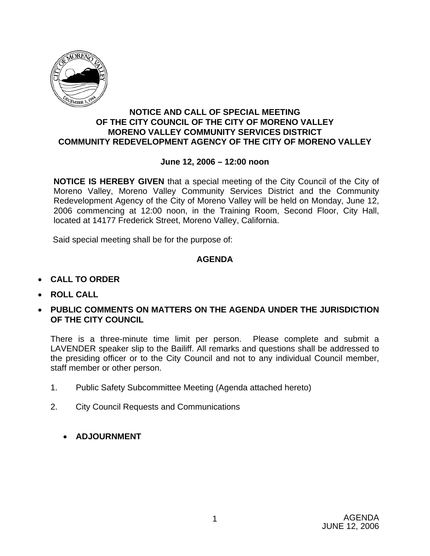

#### **NOTICE AND CALL OF SPECIAL MEETING OF THE CITY COUNCIL OF THE CITY OF MORENO VALLEY MORENO VALLEY COMMUNITY SERVICES DISTRICT COMMUNITY REDEVELOPMENT AGENCY OF THE CITY OF MORENO VALLEY**

#### **June 12, 2006 – 12:00 noon**

**NOTICE IS HEREBY GIVEN** that a special meeting of the City Council of the City of Moreno Valley, Moreno Valley Community Services District and the Community Redevelopment Agency of the City of Moreno Valley will be held on Monday, June 12, 2006 commencing at 12:00 noon, in the Training Room, Second Floor, City Hall, located at 14177 Frederick Street, Moreno Valley, California.

Said special meeting shall be for the purpose of:

### **AGENDA**

- **CALL TO ORDER**
- **ROLL CALL**
- **PUBLIC COMMENTS ON MATTERS ON THE AGENDA UNDER THE JURISDICTION OF THE CITY COUNCIL**

There is a three-minute time limit per person. Please complete and submit a LAVENDER speaker slip to the Bailiff. All remarks and questions shall be addressed to the presiding officer or to the City Council and not to any individual Council member, staff member or other person.

- 1. Public Safety Subcommittee Meeting (Agenda attached hereto)
- 2. City Council Requests and Communications
	- **ADJOURNMENT**